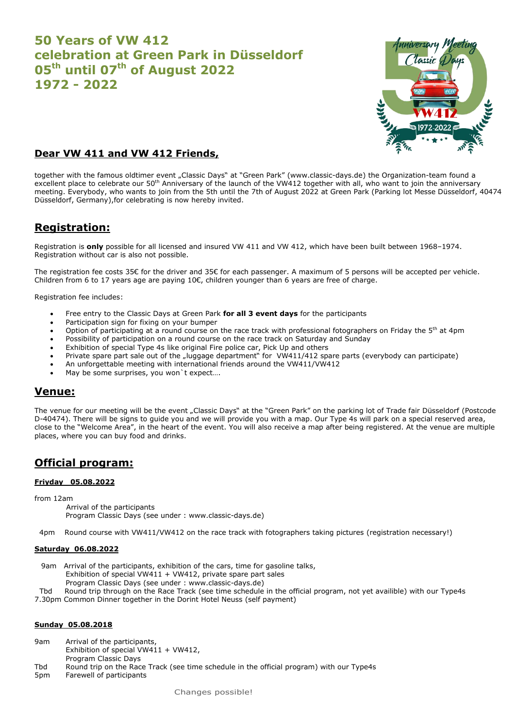# **50 Years of VW 412 celebration at Green Park in Düsseldorf 05th until 07th of August 2022 1972 - 2022**



### **Dear VW 411 and VW 412 Friends,**

together with the famous oldtimer event "Classic Days" at "Green Park" [\(www.classic-days.de\)](about:blank) the Organization-team found a excellent place to celebrate our 50<sup>th</sup> Anniversary of the launch of the VW412 together with all, who want to join the anniversary meeting. Everybody, who wants to join from the 5th until the 7th of August 2022 at Green Park (Parking lot Messe Düsseldorf, 40474 Düsseldorf, Germany),for celebrating is now hereby invited.

# **Registration:**

Registration is **only** possible for all licensed and insured VW 411 and VW 412, which have been built between 1968–1974. Registration without car is also not possible.

The registration fee costs 35€ for the driver and 35€ for each passenger. A maximum of 5 persons will be accepted per vehicle. Children from 6 to 17 years age are paying 10€, children younger than 6 years are free of charge.

Registration fee includes:

- Free entry to the Classic Days at Green Park **for all 3 event days** for the participants
- Participation sign for fixing on your bumper
- Option of participating at a round course on the race track with professional fotographers on Friday the 5<sup>th</sup> at 4pm
- Possibility of participation on a round course on the race track on Saturday and Sunday
- Exhibition of special Type 4s like original Fire police car, Pick Up and others
- Private spare part sale out of the "luggage department" for VW411/412 spare parts (everybody can participate)
- An unforgettable meeting with international friends around the VW411/VW412
- May be some surprises, you won't expect....

### **Venue:**

The venue for our meeting will be the event "Classic Days" at the "Green Park" on the parking lot of Trade fair Düsseldorf (Postcode D-40474). There will be signs to guide you and we will provide you with a map. Our Type 4s will park on a special reserved area, close to the "Welcome Area", in the heart of the event. You will also receive a map after being registered. At the venue are multiple places, where you can buy food and drinks.

## **Official program:**

### **Friyday 05.08.2022**

from 12am

- Arrival of the participants Program Classic Days (see under : www.classic-days.de)
- 4pm Round course with VW411/VW412 on the race track with fotographers taking pictures (registration necessary!)

#### **Saturday 06.08.2022**

9am Arrival of the participants, exhibition of the cars, time for gasoline talks,

- Exhibition of special VW411 + VW412, private spare part sales
	- Program Classic Days (see under : www.classic-days.de)

Tbd Round trip through on the Race Track (see time schedule in the official program, not yet availible) with our Type4s

7.30pm Common Dinner together in the Dorint Hotel Neuss (self payment)

#### **Sunday 05.08.2018**

- 9am Arrival of the participants,
- Exhibition of special VW411 + VW412,
- Program Classic Days
- Tbd Round trip on the Race Track (see time schedule in the official program) with our Type4s
- 5pm Farewell of participants